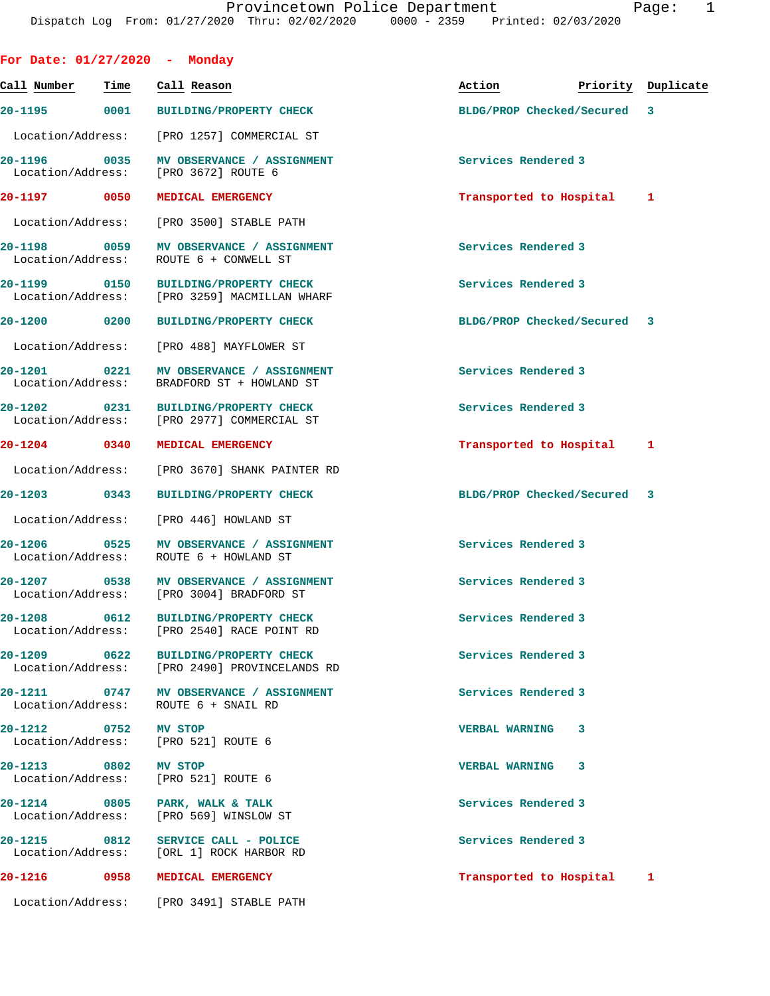| For Date: 01/27/2020 - Monday     |                     |                                                                                       |                             |   |                    |
|-----------------------------------|---------------------|---------------------------------------------------------------------------------------|-----------------------------|---|--------------------|
| Call Number                       | Time                | Call Reason                                                                           | Action                      |   | Priority Duplicate |
| 20-1195                           | 0001                | <b>BUILDING/PROPERTY CHECK</b>                                                        | BLDG/PROP Checked/Secured   |   | 3                  |
| Location/Address:                 |                     | [PRO 1257] COMMERCIAL ST                                                              |                             |   |                    |
| 20-1196 0035                      |                     | MV OBSERVANCE / ASSIGNMENT<br>Location/Address: [PRO 3672] ROUTE 6                    | Services Rendered 3         |   |                    |
| 20-1197 0050                      |                     | MEDICAL EMERGENCY                                                                     | Transported to Hospital 1   |   |                    |
| Location/Address:                 |                     | [PRO 3500] STABLE PATH                                                                |                             |   |                    |
| 20-1198<br>Location/Address:      | 0059                | MV OBSERVANCE / ASSIGNMENT<br>ROUTE 6 + CONWELL ST                                    | Services Rendered 3         |   |                    |
| 20-1199 0150<br>Location/Address: |                     | <b>BUILDING/PROPERTY CHECK</b><br>[PRO 3259] MACMILLAN WHARF                          | Services Rendered 3         |   |                    |
| 20-1200 0200                      |                     | <b>BUILDING/PROPERTY CHECK</b>                                                        | BLDG/PROP Checked/Secured 3 |   |                    |
| Location/Address:                 |                     | [PRO 488] MAYFLOWER ST                                                                |                             |   |                    |
| 20-1201 0221<br>Location/Address: |                     | MV OBSERVANCE / ASSIGNMENT<br>BRADFORD ST + HOWLAND ST                                | Services Rendered 3         |   |                    |
| 20-1202 0231<br>Location/Address: |                     | <b>BUILDING/PROPERTY CHECK</b><br>[PRO 2977] COMMERCIAL ST                            | Services Rendered 3         |   |                    |
| 20-1204 0340                      |                     | MEDICAL EMERGENCY                                                                     | Transported to Hospital     |   | $\mathbf{1}$       |
| Location/Address:                 |                     | [PRO 3670] SHANK PAINTER RD                                                           |                             |   |                    |
| $20 - 1203$                       | 0343                | <b>BUILDING/PROPERTY CHECK</b>                                                        | BLDG/PROP Checked/Secured   |   | 3                  |
| Location/Address:                 |                     | [PRO 446] HOWLAND ST                                                                  |                             |   |                    |
| $20 - 1206$<br>Location/Address:  | $\overline{0}$ 0525 | MV OBSERVANCE / ASSIGNMENT<br>ROUTE 6 + HOWLAND ST                                    | Services Rendered 3         |   |                    |
| 20-1207 0538                      |                     | MV OBSERVANCE / ASSIGNMENT<br>Location/Address: [PRO 3004] BRADFORD ST                | Services Rendered 3         |   |                    |
| Location/Address:                 |                     | 20-1208 0612 BUILDING/PROPERTY CHECK<br>[PRO 2540] RACE POINT RD                      | Services Rendered 3         |   |                    |
|                                   |                     | 20-1209 0622 BUILDING/PROPERTY CHECK<br>Location/Address: [PRO 2490] PROVINCELANDS RD | Services Rendered 3         |   |                    |
| Location/Address:                 |                     | 20-1211 0747 MV OBSERVANCE / ASSIGNMENT<br>ROUTE 6 + SNAIL RD                         | Services Rendered 3         |   |                    |
| 20-1212 0752 MV STOP              |                     | Location/Address: [PRO 521] ROUTE 6                                                   | <b>VERBAL WARNING</b>       | 3 |                    |
| 20-1213 0802                      |                     | MV STOP<br>Location/Address: [PRO 521] ROUTE 6                                        | <b>VERBAL WARNING</b>       | 3 |                    |
| Location/Address:                 |                     | 20-1214 0805 PARK, WALK & TALK<br>[PRO 569] WINSLOW ST                                | Services Rendered 3         |   |                    |
| 20-1215 0812                      |                     | SERVICE CALL - POLICE<br>Location/Address: [ORL 1] ROCK HARBOR RD                     | Services Rendered 3         |   |                    |
| 20-1216                           | 0958                | MEDICAL EMERGENCY                                                                     | Transported to Hospital     |   | $\mathbf{1}$       |
|                                   |                     | Location/Address: [PRO 3491] STABLE PATH                                              |                             |   |                    |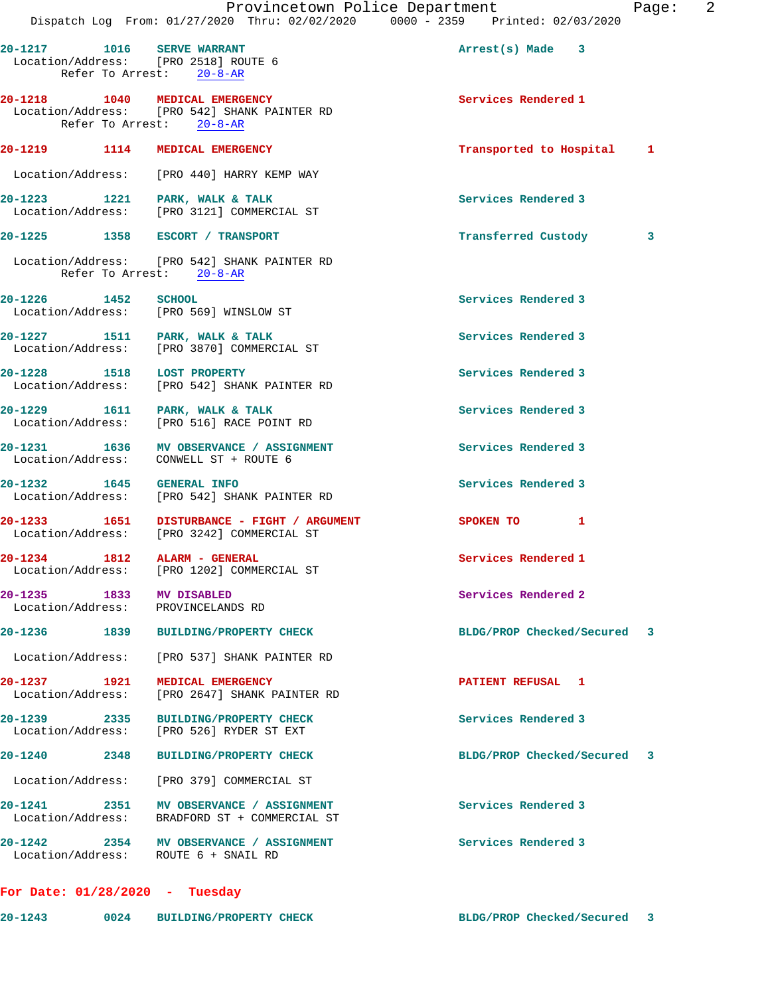|                            |      | Provincetown Police Department<br>Dispatch Log From: 01/27/2020 Thru: 02/02/2020 0000 - 2359 Printed: 02/03/2020 |                             | Page: | $\overline{2}$ |
|----------------------------|------|------------------------------------------------------------------------------------------------------------------|-----------------------------|-------|----------------|
| 20-1217 1016 SERVE WARRANT |      | Location/Address: [PRO 2518] ROUTE 6<br>Refer To Arrest: 20-8-AR                                                 | $Arrest(s)$ Made $3$        |       |                |
|                            |      | 20-1218 1040 MEDICAL EMERGENCY<br>Location/Address: [PRO 542] SHANK PAINTER RD<br>Refer To Arrest: 20-8-AR       | Services Rendered 1         |       |                |
|                            |      | 20-1219 1114 MEDICAL EMERGENCY                                                                                   | Transported to Hospital 1   |       |                |
|                            |      | Location/Address: [PRO 440] HARRY KEMP WAY                                                                       |                             |       |                |
|                            |      | 20-1223 1221 PARK, WALK & TALK<br>Location/Address: [PRO 3121] COMMERCIAL ST                                     | Services Rendered 3         |       |                |
|                            |      | 20-1225 1358 ESCORT / TRANSPORT                                                                                  | Transferred Custody         | 3     |                |
|                            |      | Location/Address: [PRO 542] SHANK PAINTER RD<br>Refer To Arrest: 20-8-AR                                         |                             |       |                |
| 20-1226 1452 SCHOOL        |      | Location/Address: [PRO 569] WINSLOW ST                                                                           | Services Rendered 3         |       |                |
|                            |      | 20-1227 1511 PARK, WALK & TALK<br>Location/Address: [PRO 3870] COMMERCIAL ST                                     | Services Rendered 3         |       |                |
| 20-1228 1518 LOST PROPERTY |      | Location/Address: [PRO 542] SHANK PAINTER RD                                                                     | Services Rendered 3         |       |                |
|                            |      | 20-1229 1611 PARK, WALK & TALK<br>Location/Address: [PRO 516] RACE POINT RD                                      | Services Rendered 3         |       |                |
|                            |      | 20-1231 1636 MV OBSERVANCE / ASSIGNMENT<br>Location/Address: CONWELL ST + ROUTE 6                                | Services Rendered 3         |       |                |
| 20-1232 1645 GENERAL INFO  |      | Location/Address: [PRO 542] SHANK PAINTER RD                                                                     | Services Rendered 3         |       |                |
|                            |      | 20-1233 1651 DISTURBANCE - FIGHT / ARGUMENT<br>Location/Address: [PRO 3242] COMMERCIAL ST                        | SPOKEN TO 1                 |       |                |
| 20-1234                    | 1812 | ALARM - GENERAL<br>Location/Address: [PRO 1202] COMMERCIAL ST                                                    | Services Rendered 1         |       |                |
|                            |      | 20-1235 1833 MV DISABLED<br>Location/Address: PROVINCELANDS RD                                                   | Services Rendered 2         |       |                |
|                            |      | 20-1236 1839 BUILDING/PROPERTY CHECK                                                                             | BLDG/PROP Checked/Secured 3 |       |                |
|                            |      | Location/Address: [PRO 537] SHANK PAINTER RD                                                                     |                             |       |                |
|                            |      | 20-1237 1921 MEDICAL EMERGENCY<br>Location/Address: [PRO 2647] SHANK PAINTER RD                                  | <b>PATIENT REFUSAL 1</b>    |       |                |
|                            |      | 20-1239 2335 BUILDING/PROPERTY CHECK<br>Location/Address: [PRO 526] RYDER ST EXT                                 | Services Rendered 3         |       |                |
| 20-1240 2348               |      | <b>BUILDING/PROPERTY CHECK</b>                                                                                   | BLDG/PROP Checked/Secured 3 |       |                |
| Location/Address:          |      | [PRO 379] COMMERCIAL ST                                                                                          |                             |       |                |
|                            |      | 20-1241 2351 MV OBSERVANCE / ASSIGNMENT<br>Location/Address: BRADFORD ST + COMMERCIAL ST                         | Services Rendered 3         |       |                |
|                            |      | 20-1242 2354 MV OBSERVANCE / ASSIGNMENT<br>Location/Address: ROUTE 6 + SNAIL RD                                  | Services Rendered 3         |       |                |
|                            |      |                                                                                                                  |                             |       |                |

**For Date: 01/28/2020 - Tuesday**

**20-1243 0024 BUILDING/PROPERTY CHECK BLDG/PROP Checked/Secured 3**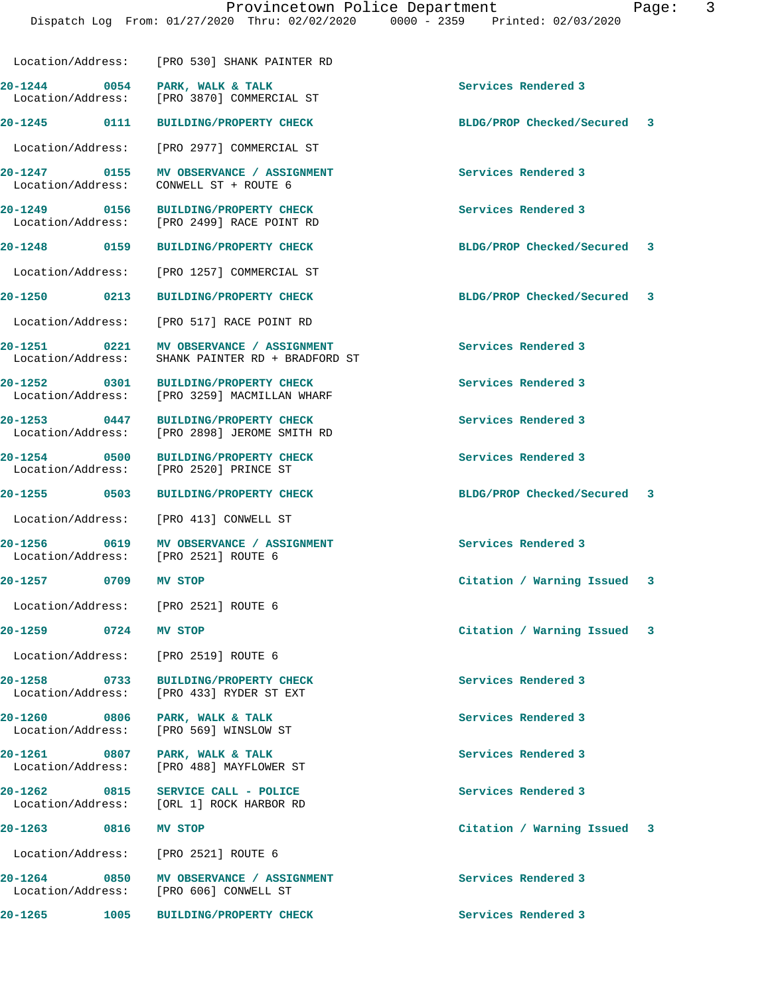Dispatch Log From: 01/27/2020 Thru: 02/02/2020 0000 - 2359 Printed: 02/03/2020

|                                      | Location/Address: [PRO 530] SHANK PAINTER RD                                      |                             |  |
|--------------------------------------|-----------------------------------------------------------------------------------|-----------------------------|--|
| 20-1244 0054                         | PARK, WALK & TALK<br>Location/Address: [PRO 3870] COMMERCIAL ST                   | Services Rendered 3         |  |
|                                      | 20-1245 0111 BUILDING/PROPERTY CHECK                                              | BLDG/PROP Checked/Secured 3 |  |
|                                      | Location/Address: [PRO 2977] COMMERCIAL ST                                        |                             |  |
| Location/Address:                    | 20-1247 0155 MV OBSERVANCE / ASSIGNMENT<br>CONWELL ST + ROUTE 6                   | Services Rendered 3         |  |
| 20-1249 0156                         | BUILDING/PROPERTY CHECK<br>Location/Address: [PRO 2499] RACE POINT RD             | Services Rendered 3         |  |
| 20-1248 0159                         | <b>BUILDING/PROPERTY CHECK</b>                                                    | BLDG/PROP Checked/Secured 3 |  |
|                                      | Location/Address: [PRO 1257] COMMERCIAL ST                                        |                             |  |
| 20-1250 0213                         | <b>BUILDING/PROPERTY CHECK</b>                                                    | BLDG/PROP Checked/Secured 3 |  |
|                                      | Location/Address: [PRO 517] RACE POINT RD                                         |                             |  |
| 20-1251 0221<br>Location/Address:    | MV OBSERVANCE / ASSIGNMENT<br>SHANK PAINTER RD + BRADFORD ST                      | Services Rendered 3         |  |
| 20-1252 0301                         | BUILDING/PROPERTY CHECK<br>Location/Address: [PRO 3259] MACMILLAN WHARF           | Services Rendered 3         |  |
| 20-1253 0447<br>Location/Address:    | <b>BUILDING/PROPERTY CHECK</b><br>[PRO 2898] JEROME SMITH RD                      | Services Rendered 3         |  |
| 20-1254 0500                         | <b>BUILDING/PROPERTY CHECK</b><br>Location/Address: [PRO 2520] PRINCE ST          | Services Rendered 3         |  |
| 20-1255 0503                         | <b>BUILDING/PROPERTY CHECK</b>                                                    | BLDG/PROP Checked/Secured 3 |  |
|                                      | Location/Address: [PRO 413] CONWELL ST                                            |                             |  |
| 20-1256 0619                         | MV OBSERVANCE / ASSIGNMENT<br>Location/Address: [PRO 2521] ROUTE 6                | Services Rendered 3         |  |
| 20-1257 0709                         | <b>MV STOP</b>                                                                    | Citation / Warning Issued 3 |  |
|                                      | Location/Address: [PRO 2521] ROUTE 6                                              |                             |  |
| 20-1259 0724 MV STOP                 |                                                                                   | Citation / Warning Issued 3 |  |
|                                      | Location/Address: [PRO 2519] ROUTE 6                                              |                             |  |
| 20-1258 0733                         | <b>BUILDING/PROPERTY CHECK</b><br>Location/Address: [PRO 433] RYDER ST EXT        | Services Rendered 3         |  |
| 20-1260 0806                         | PARK, WALK & TALK<br>Location/Address: [PRO 569] WINSLOW ST                       | Services Rendered 3         |  |
| 20-1261 0807                         | PARK, WALK & TALK<br>Location/Address: [PRO 488] MAYFLOWER ST                     | Services Rendered 3         |  |
|                                      | 20-1262 0815 SERVICE CALL - POLICE<br>Location/Address: [ORL 1] ROCK HARBOR RD    | Services Rendered 3         |  |
| 20-1263<br>0816                      | <b>MV STOP</b>                                                                    | Citation / Warning Issued 3 |  |
| Location/Address: [PRO 2521] ROUTE 6 |                                                                                   |                             |  |
|                                      | 20-1264 0850 MV OBSERVANCE / ASSIGNMENT<br>Location/Address: [PRO 606] CONWELL ST | Services Rendered 3         |  |
| 20-1265<br>1005                      | BUILDING/PROPERTY CHECK                                                           | Services Rendered 3         |  |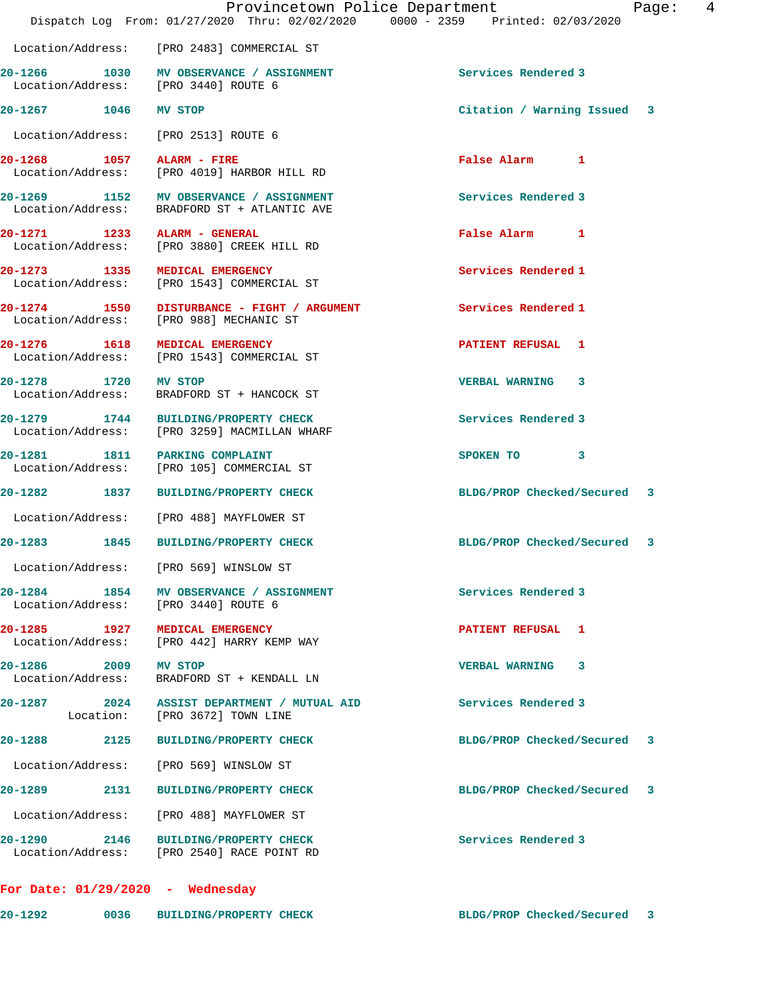|                                | Provincetown Police Department<br>Dispatch Log From: 01/27/2020 Thru: 02/02/2020 0000 - 2359 Printed: 02/03/2020 |                             | 4<br>Page: |
|--------------------------------|------------------------------------------------------------------------------------------------------------------|-----------------------------|------------|
|                                | Location/Address: [PRO 2483] COMMERCIAL ST                                                                       |                             |            |
|                                | 20-1266 1030 MV OBSERVANCE / ASSIGNMENT<br>Location/Address: [PRO 3440] ROUTE 6                                  | Services Rendered 3         |            |
| 20-1267 1046 MV STOP           |                                                                                                                  | Citation / Warning Issued 3 |            |
|                                | Location/Address: [PRO 2513] ROUTE 6                                                                             |                             |            |
| 20-1268 1057 ALARM - FIRE      | Location/Address: [PRO 4019] HARBOR HILL RD                                                                      | False Alarm 1               |            |
|                                | 20-1269 1152 MV OBSERVANCE / ASSIGNMENT<br>Location/Address: BRADFORD ST + ATLANTIC AVE                          | Services Rendered 3         |            |
| 20-1271 1233 ALARM - GENERAL   | Location/Address: [PRO 3880] CREEK HILL RD                                                                       | False Alarm 1               |            |
|                                | 20-1273 1335 MEDICAL EMERGENCY<br>Location/Address: [PRO 1543] COMMERCIAL ST                                     | Services Rendered 1         |            |
|                                | 20-1274 1550 DISTURBANCE - FIGHT / ARGUMENT<br>Location/Address: [PRO 988] MECHANIC ST                           | Services Rendered 1         |            |
| 20-1276 1618 MEDICAL EMERGENCY | Location/Address: [PRO 1543] COMMERCIAL ST                                                                       | PATIENT REFUSAL 1           |            |
| 20-1278 1720 MV STOP           | Location/Address: BRADFORD ST + HANCOCK ST                                                                       | VERBAL WARNING 3            |            |
|                                | 20-1279 1744 BUILDING/PROPERTY CHECK<br>Location/Address: [PRO 3259] MACMILLAN WHARF                             | Services Rendered 3         |            |
| 20-1281 1811 PARKING COMPLAINT | Location/Address: [PRO 105] COMMERCIAL ST                                                                        | SPOKEN TO<br>$\mathbf{3}$   |            |
|                                | 20-1282 1837 BUILDING/PROPERTY CHECK                                                                             | BLDG/PROP Checked/Secured 3 |            |
|                                | Location/Address: [PRO 488] MAYFLOWER ST                                                                         |                             |            |
| 1845<br>20-1283                | <b>BUILDING/PROPERTY CHECK</b>                                                                                   | BLDG/PROP Checked/Secured 3 |            |
| Location/Address:              | [PRO 569] WINSLOW ST                                                                                             |                             |            |
|                                | 20-1284 1854 MV OBSERVANCE / ASSIGNMENT<br>Location/Address: [PRO 3440] ROUTE 6                                  | Services Rendered 3         |            |
|                                | 20-1285 1927 MEDICAL EMERGENCY<br>Location/Address: [PRO 442] HARRY KEMP WAY                                     | PATIENT REFUSAL 1           |            |
| 20-1286 2009 MV STOP           | Location/Address: BRADFORD ST + KENDALL LN                                                                       | <b>VERBAL WARNING 3</b>     |            |
|                                | 20-1287 2024 ASSIST DEPARTMENT / MUTUAL AID<br>Location: [PRO 3672] TOWN LINE                                    | Services Rendered 3         |            |
|                                | 20-1288 2125 BUILDING/PROPERTY CHECK                                                                             | BLDG/PROP Checked/Secured 3 |            |
|                                | Location/Address: [PRO 569] WINSLOW ST                                                                           |                             |            |
|                                | 20-1289 2131 BUILDING/PROPERTY CHECK                                                                             | BLDG/PROP Checked/Secured 3 |            |
|                                | Location/Address: [PRO 488] MAYFLOWER ST                                                                         |                             |            |
|                                | 20-1290 2146 BUILDING/PROPERTY CHECK<br>Location/Address: [PRO 2540] RACE POINT RD                               | Services Rendered 3         |            |
|                                |                                                                                                                  |                             |            |

**For Date: 01/29/2020 - Wednesday**

**20-1292 0036 BUILDING/PROPERTY CHECK BLDG/PROP Checked/Secured 3**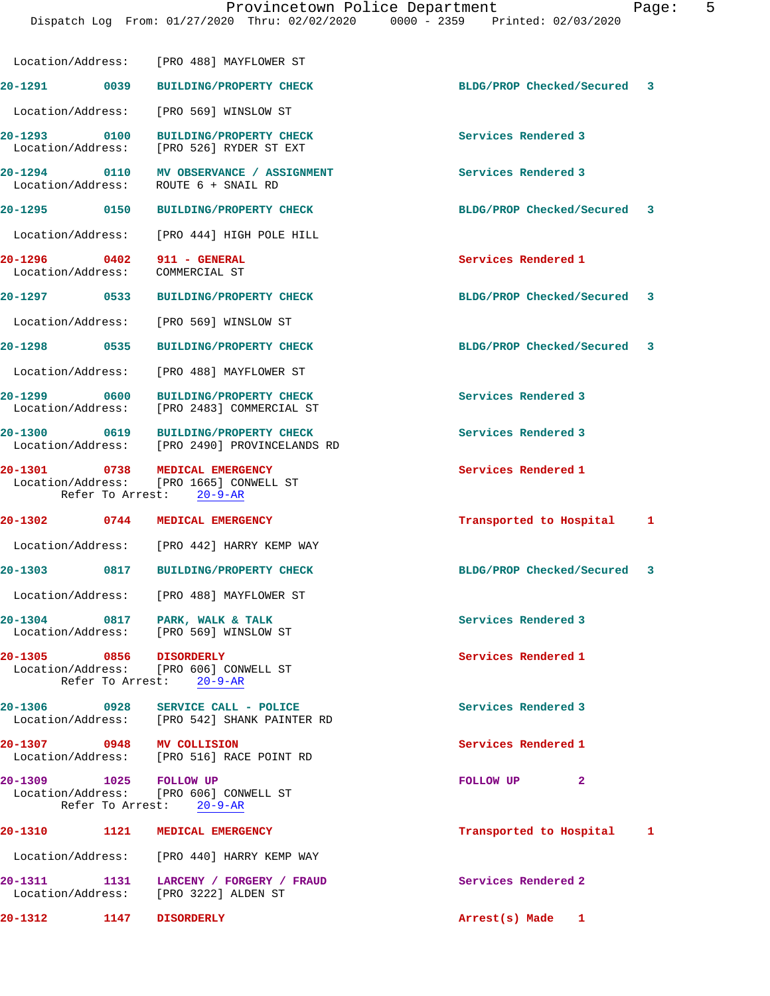| Location/Address:                 | [PRO 488] MAYFLOWER ST                                                                                |                             |  |
|-----------------------------------|-------------------------------------------------------------------------------------------------------|-----------------------------|--|
| 20-1291 0039                      | <b>BUILDING/PROPERTY CHECK</b>                                                                        | BLDG/PROP Checked/Secured 3 |  |
|                                   | Location/Address: [PRO 569] WINSLOW ST                                                                |                             |  |
| 20-1293 0100                      | <b>BUILDING/PROPERTY CHECK</b><br>Location/Address: [PRO 526] RYDER ST EXT                            | Services Rendered 3         |  |
| 20-1294 0110<br>Location/Address: | MV OBSERVANCE / ASSIGNMENT<br>ROUTE 6 + SNAIL RD                                                      | Services Rendered 3         |  |
| 20-1295 0150                      | <b>BUILDING/PROPERTY CHECK</b>                                                                        | BLDG/PROP Checked/Secured 3 |  |
|                                   | Location/Address: [PRO 444] HIGH POLE HILL                                                            |                             |  |
| 20-1296 0402<br>Location/Address: | 911 - GENERAL<br>COMMERCIAL ST                                                                        | Services Rendered 1         |  |
|                                   | 20-1297 0533 BUILDING/PROPERTY CHECK                                                                  | BLDG/PROP Checked/Secured 3 |  |
|                                   | Location/Address: [PRO 569] WINSLOW ST                                                                |                             |  |
| 20-1298 0535                      | <b>BUILDING/PROPERTY CHECK</b>                                                                        | BLDG/PROP Checked/Secured 3 |  |
|                                   | Location/Address: [PRO 488] MAYFLOWER ST                                                              |                             |  |
| 20-1299 0600                      | <b>BUILDING/PROPERTY CHECK</b><br>Location/Address: [PRO 2483] COMMERCIAL ST                          | Services Rendered 3         |  |
| 20-1300 0619                      | <b>BUILDING/PROPERTY CHECK</b><br>Location/Address: [PRO 2490] PROVINCELANDS RD                       | Services Rendered 3         |  |
|                                   | 20-1301 0738 MEDICAL EMERGENCY<br>Location/Address: [PRO 1665] CONWELL ST<br>Refer To Arrest: 20-9-AR | Services Rendered 1         |  |
| 20-1302 0744                      | MEDICAL EMERGENCY                                                                                     | Transported to Hospital 1   |  |
|                                   | Location/Address: [PRO 442] HARRY KEMP WAY                                                            |                             |  |
| 20-1303 0817                      | <b>BUILDING/PROPERTY CHECK</b>                                                                        | BLDG/PROP Checked/Secured 3 |  |
|                                   | Location/Address: [PRO 488] MAYFLOWER ST                                                              |                             |  |
|                                   | 20-1304 0817 PARK, WALK & TALK<br>Location/Address: [PRO 569] WINSLOW ST                              | Services Rendered 3         |  |
| 20-1305 0856 DISORDERLY           | Location/Address: [PRO 606] CONWELL ST<br>Refer To Arrest: 20-9-AR                                    | Services Rendered 1         |  |
|                                   | 20-1306 0928 SERVICE CALL - POLICE<br>Location/Address: [PRO 542] SHANK PAINTER RD                    | Services Rendered 3         |  |
|                                   | 20-1307 0948 MV COLLISION<br>Location/Address: [PRO 516] RACE POINT RD                                | Services Rendered 1         |  |
| 20-1309 1025 FOLLOW UP            | Location/Address: [PRO 606] CONWELL ST<br>Refer To Arrest: 20-9-AR                                    | $\mathbf{2}$<br>FOLLOW UP   |  |
|                                   | 20-1310 1121 MEDICAL EMERGENCY                                                                        | Transported to Hospital 1   |  |
|                                   | Location/Address: [PRO 440] HARRY KEMP WAY                                                            |                             |  |
|                                   | 20-1311 1131 LARCENY / FORGERY / FRAUD<br>Location/Address: [PRO 3222] ALDEN ST                       | Services Rendered 2         |  |
| 20-1312 1147 DISORDERLY           |                                                                                                       | Arrest(s) Made 1            |  |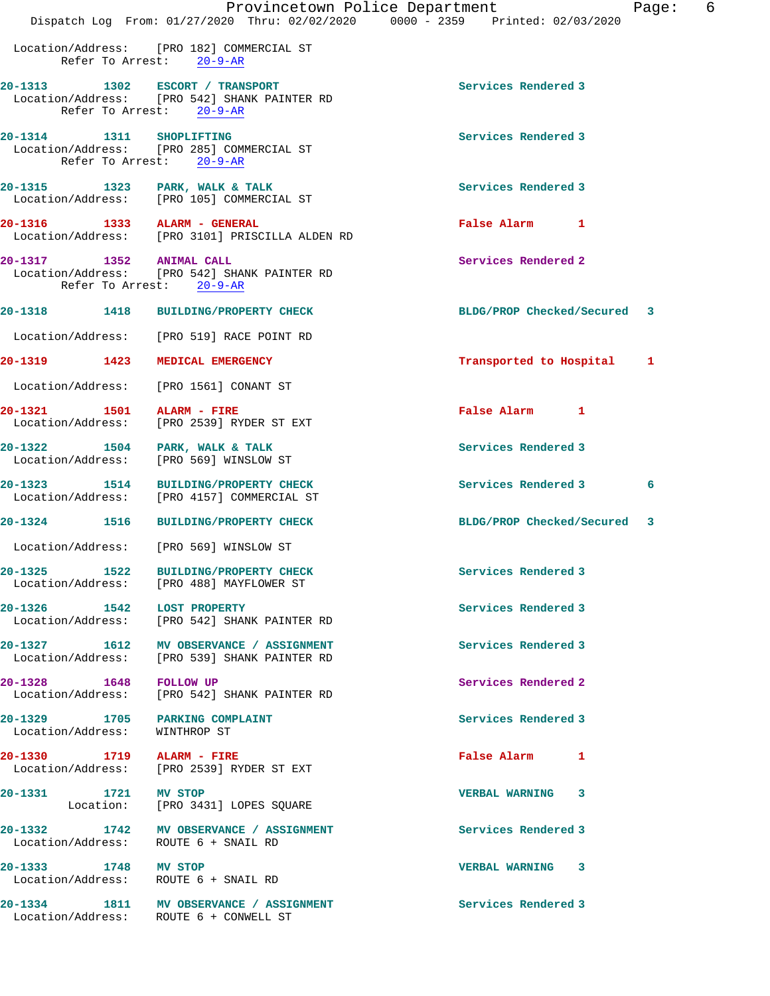|                                                |                  | Provincetown Police Department<br>Dispatch Log From: 01/27/2020 Thru: 02/02/2020 0000 - 2359 Printed: 02/03/2020 |                             | 6<br>Page: |
|------------------------------------------------|------------------|------------------------------------------------------------------------------------------------------------------|-----------------------------|------------|
|                                                | Refer To Arrest: | Location/Address: [PRO 182] COMMERCIAL ST<br>$20 - 9 - AR$                                                       |                             |            |
| 20-1313 1302                                   |                  | ESCORT / TRANSPORT<br>Location/Address: [PRO 542] SHANK PAINTER RD<br>Refer To Arrest: 20-9-AR                   | Services Rendered 3         |            |
| 20-1314 1311 SHOPLIFTING                       |                  | Location/Address: [PRO 285] COMMERCIAL ST<br>Refer To Arrest: 20-9-AR                                            | Services Rendered 3         |            |
|                                                |                  | 20-1315 1323 PARK, WALK & TALK<br>Location/Address: [PRO 105] COMMERCIAL ST                                      | Services Rendered 3         |            |
| 20-1316 1333                                   |                  | ALARM - GENERAL<br>Location/Address: [PRO 3101] PRISCILLA ALDEN RD                                               | False Alarm 1               |            |
| 20-1317 1352 ANIMAL CALL                       |                  | Location/Address: [PRO 542] SHANK PAINTER RD<br>Refer To Arrest: 20-9-AR                                         | Services Rendered 2         |            |
|                                                |                  | 20-1318 1418 BUILDING/PROPERTY CHECK                                                                             | BLDG/PROP Checked/Secured 3 |            |
|                                                |                  | Location/Address: [PRO 519] RACE POINT RD                                                                        |                             |            |
| 20-1319<br>1423                                |                  | MEDICAL EMERGENCY                                                                                                | Transported to Hospital     | 1          |
|                                                |                  | Location/Address: [PRO 1561] CONANT ST                                                                           |                             |            |
| 20-1321 1501 ALARM - FIRE<br>Location/Address: |                  | [PRO 2539] RYDER ST EXT                                                                                          | <b>False Alarm</b><br>-1    |            |
|                                                |                  | 20-1322 1504 PARK, WALK & TALK<br>Location/Address: [PRO 569] WINSLOW ST                                         | Services Rendered 3         |            |
|                                                |                  | 20-1323 1514 BUILDING/PROPERTY CHECK<br>Location/Address: [PRO 4157] COMMERCIAL ST                               | Services Rendered 3         | 6          |
|                                                |                  | 20-1324 1516 BUILDING/PROPERTY CHECK                                                                             | BLDG/PROP Checked/Secured   | 3          |
|                                                |                  | Location/Address: [PRO 569] WINSLOW ST                                                                           |                             |            |
|                                                |                  | 20-1325 1522 BUILDING/PROPERTY CHECK<br>Location/Address: [PRO 488] MAYFLOWER ST                                 | Services Rendered 3         |            |
| 20-1326 1542 LOST PROPERTY                     |                  | Location/Address: [PRO 542] SHANK PAINTER RD                                                                     | Services Rendered 3         |            |
|                                                |                  | 20-1327 1612 MV OBSERVANCE / ASSIGNMENT<br>Location/Address: [PRO 539] SHANK PAINTER RD                          | Services Rendered 3         |            |
| 20-1328 1648 FOLLOW UP                         |                  | Location/Address: [PRO 542] SHANK PAINTER RD                                                                     | Services Rendered 2         |            |
| Location/Address: WINTHROP ST                  |                  | 20-1329 1705 PARKING COMPLAINT                                                                                   | Services Rendered 3         |            |
| 20-1330 1719 ALARM - FIRE                      |                  | Location/Address: [PRO 2539] RYDER ST EXT                                                                        | False Alarm 1               |            |
| 20-1331 1721 MV STOP                           |                  | Location: [PRO 3431] LOPES SQUARE                                                                                | VERBAL WARNING 3            |            |
|                                                |                  | 20-1332 1742 MV OBSERVANCE / ASSIGNMENT<br>Location/Address: ROUTE 6 + SNAIL RD                                  | Services Rendered 3         |            |
| 20-1333 1748 MV STOP                           |                  | Location/Address: ROUTE 6 + SNAIL RD                                                                             | VERBAL WARNING 3            |            |
|                                                |                  | 20-1334 1811 MV OBSERVANCE / ASSIGNMENT<br>Location/Address: ROUTE 6 + CONWELL ST                                | Services Rendered 3         |            |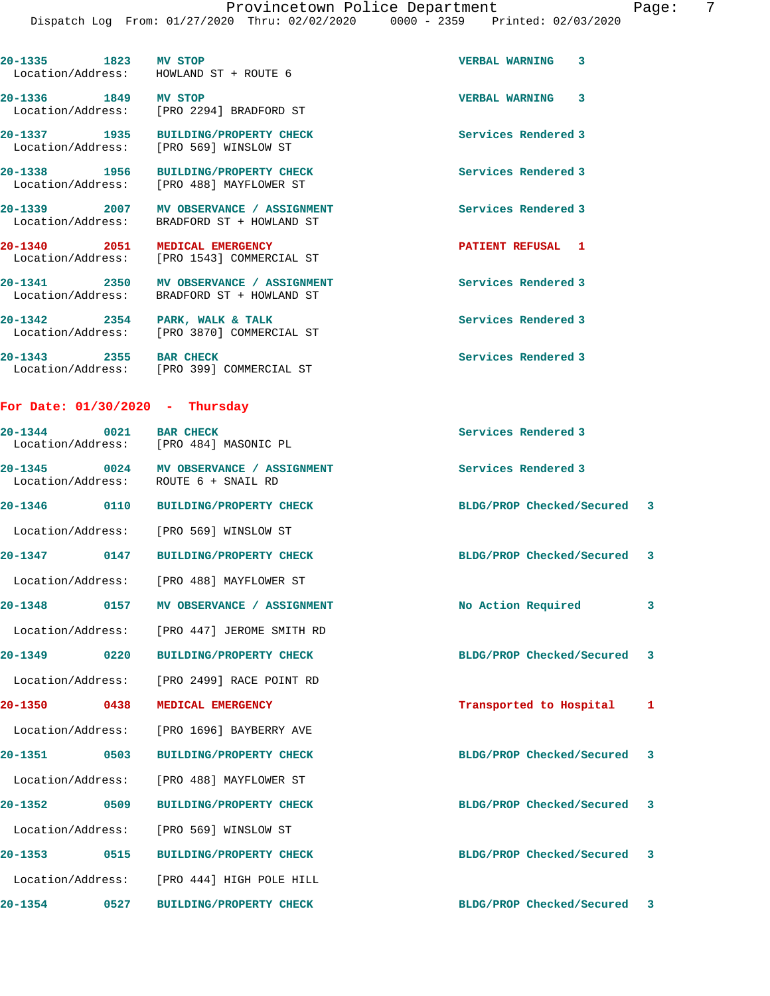**20-1335 1823 MV STOP VERBAL WARNING 3** 

Location/Address: HOWLAND ST + ROUTE 6

|                                   | 20-1336 1849 MV STOP<br>Location/Address: [PRO 2294] BRADFORD ST                      | VERBAL WARNING 3             |
|-----------------------------------|---------------------------------------------------------------------------------------|------------------------------|
|                                   | 20-1337 1935 BUILDING/PROPERTY CHECK<br>Location/Address: [PRO 569] WINSLOW ST        | Services Rendered 3          |
|                                   | 20-1338 1956 BUILDING/PROPERTY CHECK<br>Location/Address: [PRO 488] MAYFLOWER ST      | Services Rendered 3          |
|                                   | 20-1339 2007 MV OBSERVANCE / ASSIGNMENT<br>Location/Address: BRADFORD ST + HOWLAND ST | Services Rendered 3          |
|                                   | 20-1340 2051 MEDICAL EMERGENCY<br>Location/Address: [PRO 1543] COMMERCIAL ST          | <b>PATIENT REFUSAL 1</b>     |
|                                   | 20-1341 2350 MV OBSERVANCE / ASSIGNMENT<br>Location/Address: BRADFORD ST + HOWLAND ST | Services Rendered 3          |
|                                   | 20-1342 2354 PARK, WALK & TALK<br>Location/Address: [PRO 3870] COMMERCIAL ST          | Services Rendered 3          |
| 20-1343 2355 BAR CHECK            | Location/Address: [PRO 399] COMMERCIAL ST                                             | Services Rendered 3          |
| For Date: $01/30/2020$ - Thursday |                                                                                       |                              |
|                                   | 20-1344 0021 BAR CHECK<br>Location/Address: [PRO 484] MASONIC PL                      | Services Rendered 3          |
|                                   | 20-1345 0024 MV OBSERVANCE / ASSIGNMENT<br>Location/Address: ROUTE 6 + SNAIL RD       | Services Rendered 3          |
|                                   |                                                                                       | BLDG/PROP Checked/Secured 3  |
|                                   | Location/Address: [PRO 569] WINSLOW ST                                                |                              |
|                                   | 20-1347 0147 BUILDING/PROPERTY CHECK                                                  | BLDG/PROP Checked/Secured 3  |
|                                   | Location/Address: [PRO 488] MAYFLOWER ST                                              |                              |
|                                   | 20-1348 0157 MV OBSERVANCE / ASSIGNMENT                                               | No Action Required<br>3      |
|                                   | Location/Address: [PRO 447] JEROME SMITH RD                                           |                              |
| 20-1349<br>0220                   | <b>BUILDING/PROPERTY CHECK</b>                                                        | BLDG/PROP Checked/Secured 3  |
| Location/Address:                 | [PRO 2499] RACE POINT RD                                                              |                              |
| 20-1350<br>0438                   | MEDICAL EMERGENCY                                                                     | Transported to Hospital<br>1 |
| Location/Address:                 | [PRO 1696] BAYBERRY AVE                                                               |                              |
| 20-1351<br>0503                   | <b>BUILDING/PROPERTY CHECK</b>                                                        | BLDG/PROP Checked/Secured 3  |
| Location/Address:                 | [PRO 488] MAYFLOWER ST                                                                |                              |
|                                   |                                                                                       |                              |

**20-1352 0509 BUILDING/PROPERTY CHECK BLDG/PROP Checked/Secured 3** Location/Address: [PRO 569] WINSLOW ST **20-1353 0515 BUILDING/PROPERTY CHECK BLDG/PROP Checked/Secured 3** Location/Address: [PRO 444] HIGH POLE HILL

**20-1354 0527 BUILDING/PROPERTY CHECK BLDG/PROP Checked/Secured 3**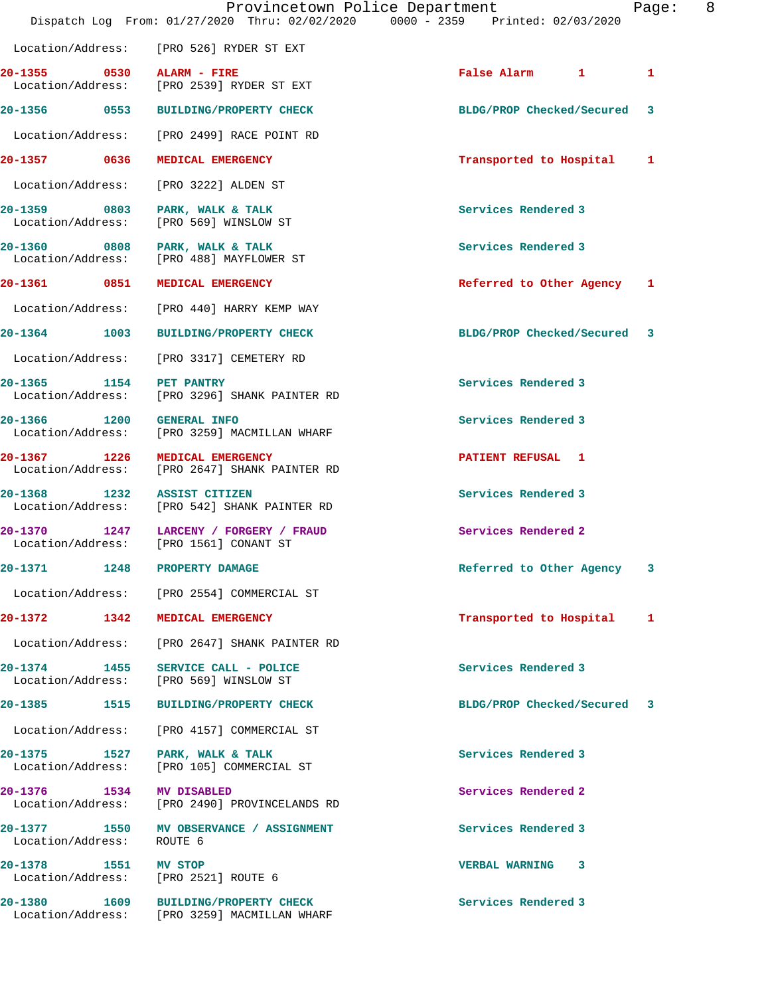|                           | Provincetown Police Department<br>Dispatch Log From: 01/27/2020 Thru: 02/02/2020 0000 - 2359 Printed: 02/03/2020 |                             | 8<br>Page: |
|---------------------------|------------------------------------------------------------------------------------------------------------------|-----------------------------|------------|
|                           | Location/Address: [PRO 526] RYDER ST EXT                                                                         |                             |            |
| 20-1355 0530 ALARM - FIRE | Location/Address: [PRO 2539] RYDER ST EXT                                                                        | False Alarm 1               | 1          |
|                           | 20-1356 0553 BUILDING/PROPERTY CHECK                                                                             | BLDG/PROP Checked/Secured   | 3          |
|                           | Location/Address: [PRO 2499] RACE POINT RD                                                                       |                             |            |
|                           | 20-1357 0636 MEDICAL EMERGENCY                                                                                   | Transported to Hospital 1   |            |
|                           | Location/Address: [PRO 3222] ALDEN ST                                                                            |                             |            |
|                           | 20-1359 0803 PARK, WALK & TALK<br>Location/Address: [PRO 569] WINSLOW ST                                         | Services Rendered 3         |            |
|                           | 20-1360 0808 PARK, WALK & TALK<br>Location/Address: [PRO 488] MAYFLOWER ST                                       | Services Rendered 3         |            |
|                           | 20-1361 0851 MEDICAL EMERGENCY                                                                                   | Referred to Other Agency 1  |            |
|                           | Location/Address: [PRO 440] HARRY KEMP WAY                                                                       |                             |            |
| 20-1364 1003              | <b>BUILDING/PROPERTY CHECK</b>                                                                                   | BLDG/PROP Checked/Secured 3 |            |
|                           | Location/Address: [PRO 3317] CEMETERY RD                                                                         |                             |            |
| 20-1365 1154 PET PANTRY   | Location/Address: [PRO 3296] SHANK PAINTER RD                                                                    | Services Rendered 3         |            |
| 20-1366 1200 GENERAL INFO | Location/Address: [PRO 3259] MACMILLAN WHARF                                                                     | Services Rendered 3         |            |
|                           | 20-1367 1226 MEDICAL EMERGENCY<br>Location/Address: [PRO 2647] SHANK PAINTER RD                                  | <b>PATIENT REFUSAL 1</b>    |            |
| 20-1368                   | 1232 ASSIST CITIZEN<br>Location/Address: [PRO 542] SHANK PAINTER RD                                              | Services Rendered 3         |            |
|                           | 20-1370 1247 LARCENY / FORGERY / FRAUD<br>Location/Address: [PRO 1561] CONANT ST                                 | Services Rendered 2         |            |
| 20-1371<br>1248           | PROPERTY DAMAGE                                                                                                  | Referred to Other Agency 3  |            |
|                           | Location/Address: [PRO 2554] COMMERCIAL ST                                                                       |                             |            |
|                           | 20-1372 1342 MEDICAL EMERGENCY                                                                                   | Transported to Hospital     | 1          |
|                           | Location/Address: [PRO 2647] SHANK PAINTER RD                                                                    |                             |            |
|                           | 20-1374 1455 SERVICE CALL - POLICE<br>Location/Address: [PRO 569] WINSLOW ST                                     | Services Rendered 3         |            |
|                           | 20-1385 1515 BUILDING/PROPERTY CHECK                                                                             | BLDG/PROP Checked/Secured 3 |            |
|                           | Location/Address: [PRO 4157] COMMERCIAL ST                                                                       |                             |            |
| Location/Address:         | 20-1375 1527 PARK, WALK & TALK<br>[PRO 105] COMMERCIAL ST                                                        | Services Rendered 3         |            |
| 20-1376 1534 MV DISABLED  | Location/Address: [PRO 2490] PROVINCELANDS RD                                                                    | Services Rendered 2         |            |
| Location/Address:         | 20-1377 1550 MV OBSERVANCE / ASSIGNMENT<br>ROUTE 6                                                               | Services Rendered 3         |            |
| 20-1378 1551 MV STOP      | Location/Address: [PRO 2521] ROUTE 6                                                                             | VERBAL WARNING 3            |            |
|                           | 20-1380 1609 BUILDING/PROPERTY CHECK<br>Location/Address: [PRO 3259] MACMILLAN WHARF                             | Services Rendered 3         |            |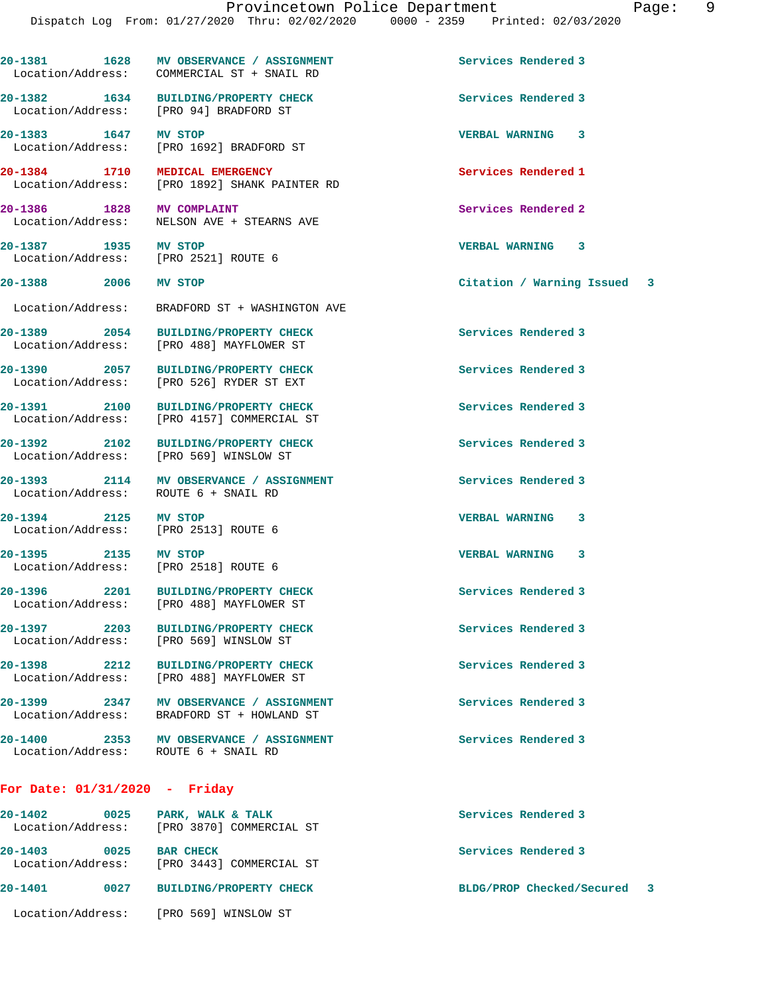**20-1381 1628 MV OBSERVANCE / ASSIGNMENT Services Rendered 3** 

**20-1382 1634 BUILDING/PROPERTY CHECK Services Rendered 3** 

**20-1386 1828 MV COMPLAINT Services Rendered 2**  Location/Address: NELSON AVE + STEARNS AVE **20-1387 1935 MV STOP VERBAL WARNING 3**  Location/Address: [PRO 2521] ROUTE 6 **20-1388 2006 MV STOP Citation / Warning Issued 3** Location/Address: BRADFORD ST + WASHINGTON AVE **20-1389 2054 BUILDING/PROPERTY CHECK Services Rendered 3**  Location/Address: [PRO 488] MAYFLOWER ST **20-1390 2057 BUILDING/PROPERTY CHECK Services Rendered 3**  Location/Address: [PRO 526] RYDER ST EXT **20-1391 2100 BUILDING/PROPERTY CHECK Services Rendered 3**  Location/Address: [PRO 4157] COMMERCIAL ST **20-1392 2102 BUILDING/PROPERTY CHECK Services Rendered 3**  Location/Address: [PRO 569] WINSLOW ST **20-1393 2114 MV OBSERVANCE / ASSIGNMENT Services Rendered 3**  Location/Address: ROUTE 6 + SNAIL RD **20-1394 2125 MV STOP VERBAL WARNING 3** 

Location/Address: [PRO 2513] ROUTE 6

Location/Address: [PRO 2518] ROUTE 6

Location/Address: [PRO 488] MAYFLOWER ST

Location/Address: [PRO 569] WINSLOW ST

**20-1399 2347 MV OBSERVANCE / ASSIGNMENT Services Rendered 3**  Location/Address: BRADFORD ST + HOWLAND ST

**20-1400 2353 MV OBSERVANCE / ASSIGNMENT Services Rendered 3**  Location/Address: ROUTE 6 + SNAIL RD

## **For Date: 01/31/2020 - Friday**

| 20-1402           | 0025 | PARK, WALK & TALK              | Services Rendered 3         |  |
|-------------------|------|--------------------------------|-----------------------------|--|
| Location/Address: |      | [PRO 3870] COMMERCIAL ST       |                             |  |
| $20 - 1403$       | 0025 | <b>BAR CHECK</b>               | Services Rendered 3         |  |
| Location/Address: |      | [PRO 3443] COMMERCIAL ST       |                             |  |
| $20 - 1401$       | 0027 | <b>BUILDING/PROPERTY CHECK</b> | BLDG/PROP Checked/Secured 3 |  |
| Location/Address: |      | [PRO 569] WINSLOW ST           |                             |  |

 Location/Address: [PRO 94] BRADFORD ST **20-1383 1647 MV STOP VERBAL WARNING 3**  Location/Address: [PRO 1692] BRADFORD ST

**20-1384 1710 MEDICAL EMERGENCY Services Rendered 1 1210 ICRO 1892** SHANK PAINTER RD [PRO 1892] SHANK PAINTER RD

Location/Address: COMMERCIAL ST + SNAIL RD

**20-1398 2212 BUILDING/PROPERTY CHECK Services Rendered 3**  Location/Address: [PRO 488] MAYFLOWER ST

**20-1395 2135 MV STOP VERBAL WARNING 3** 

**20-1396 2201 BUILDING/PROPERTY CHECK Services Rendered 3** 

**20-1397 2203 BUILDING/PROPERTY CHECK Services Rendered 3**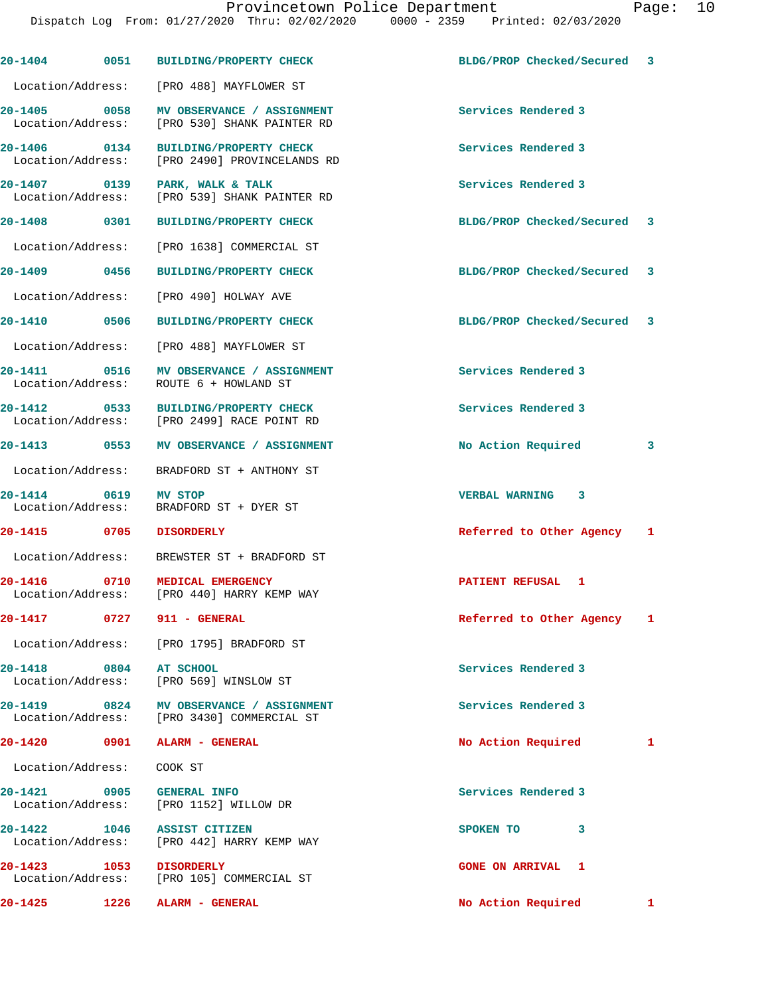| 20-1404 0051                | <b>BUILDING/PROPERTY CHECK</b>                                                          | BLDG/PROP Checked/Secured   | 3  |
|-----------------------------|-----------------------------------------------------------------------------------------|-----------------------------|----|
|                             | Location/Address: [PRO 488] MAYFLOWER ST                                                |                             |    |
|                             | 20-1405 0058 MV OBSERVANCE / ASSIGNMENT<br>Location/Address: [PRO 530] SHANK PAINTER RD | Services Rendered 3         |    |
|                             | 20-1406 0134 BUILDING/PROPERTY CHECK<br>Location/Address: [PRO 2490] PROVINCELANDS RD   | Services Rendered 3         |    |
| 20-1407 0139                | PARK, WALK & TALK<br>Location/Address: [PRO 539] SHANK PAINTER RD                       | Services Rendered 3         |    |
| 20-1408 0301                | BUILDING/PROPERTY CHECK                                                                 | BLDG/PROP Checked/Secured 3 |    |
| Location/Address:           | [PRO 1638] COMMERCIAL ST                                                                |                             |    |
| 20-1409 0456                | <b>BUILDING/PROPERTY CHECK</b>                                                          | BLDG/PROP Checked/Secured 3 |    |
|                             | Location/Address: [PRO 490] HOLWAY AVE                                                  |                             |    |
| 20-1410 0506                | <b>BUILDING/PROPERTY CHECK</b>                                                          | BLDG/PROP Checked/Secured 3 |    |
|                             | Location/Address: [PRO 488] MAYFLOWER ST                                                |                             |    |
|                             | 20-1411 0516 MV OBSERVANCE / ASSIGNMENT<br>Location/Address: ROUTE 6 + HOWLAND ST       | Services Rendered 3         |    |
|                             | 20-1412 0533 BUILDING/PROPERTY CHECK<br>Location/Address: [PRO 2499] RACE POINT RD      | Services Rendered 3         |    |
|                             | 20-1413 0553 MV OBSERVANCE / ASSIGNMENT                                                 | No Action Required          | 3  |
|                             | Location/Address: BRADFORD ST + ANTHONY ST                                              |                             |    |
| 20-1414 0619 MV STOP        | Location/Address: BRADFORD ST + DYER ST                                                 | VERBAL WARNING 3            |    |
| 20-1415 0705                | <b>DISORDERLY</b>                                                                       | Referred to Other Agency 1  |    |
|                             | Location/Address: BREWSTER ST + BRADFORD ST                                             |                             |    |
|                             | 20-1416 0710 MEDICAL EMERGENCY<br>Location/Address: [PRO 440] HARRY KEMP WAY            | PATIENT REFUSAL 1           |    |
| 20-1417<br>0727             | 911 - GENERAL                                                                           | Referred to Other Agency 1  |    |
|                             | Location/Address: [PRO 1795] BRADFORD ST                                                |                             |    |
| 20-1418 0804 AT SCHOOL      | Location/Address: [PRO 569] WINSLOW ST                                                  | Services Rendered 3         |    |
|                             | 20-1419 0824 MV OBSERVANCE / ASSIGNMENT<br>Location/Address: [PRO 3430] COMMERCIAL ST   | Services Rendered 3         |    |
|                             |                                                                                         | No Action Required          | 1  |
| Location/Address: COOK ST   |                                                                                         |                             |    |
| 20-1421 0905 GENERAL INFO   | Location/Address: [PRO 1152] WILLOW DR                                                  | Services Rendered 3         |    |
| 20-1422 1046 ASSIST CITIZEN | Location/Address: [PRO 442] HARRY KEMP WAY                                              | SPOKEN TO<br>3              |    |
| 20-1423 1053 DISORDERLY     | Location/Address: [PRO 105] COMMERCIAL ST                                               | <b>GONE ON ARRIVAL 1</b>    |    |
| 20-1425<br>1226             | ALARM - GENERAL                                                                         | No Action Required          | ı. |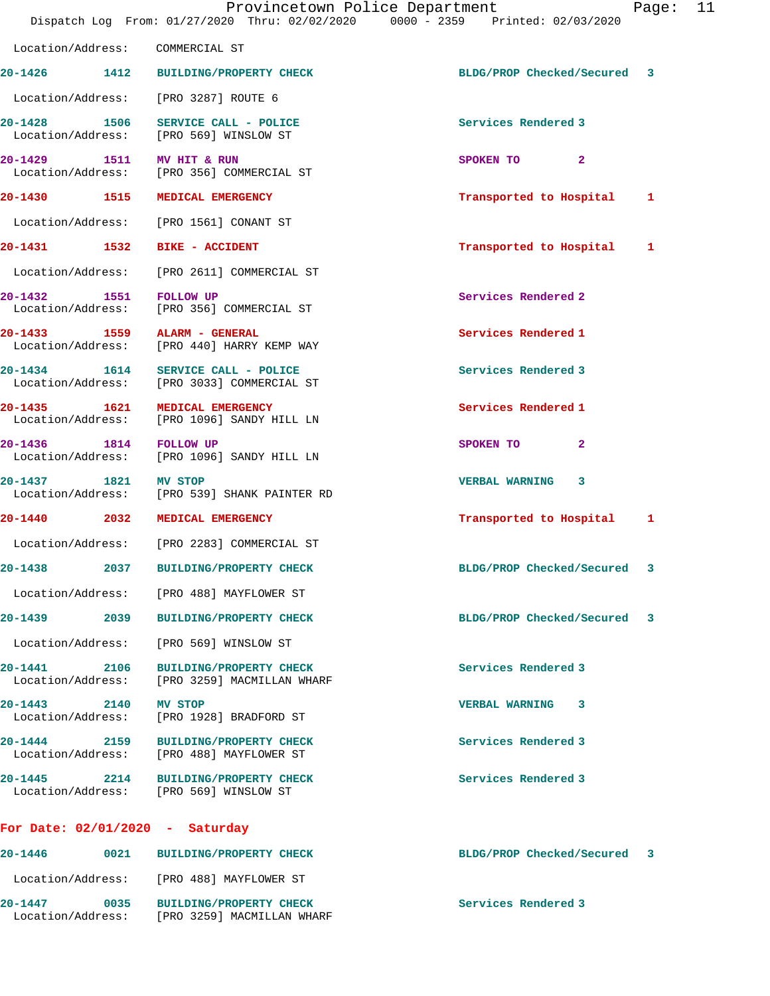|                                      | Provincetown Police Department<br>Dispatch Log From: 01/27/2020 Thru: 02/02/2020 0000 - 2359 Printed: 02/03/2020 |                             | Page: | 11 |
|--------------------------------------|------------------------------------------------------------------------------------------------------------------|-----------------------------|-------|----|
| Location/Address: COMMERCIAL ST      |                                                                                                                  |                             |       |    |
|                                      | 20-1426 1412 BUILDING/PROPERTY CHECK                                                                             | BLDG/PROP Checked/Secured 3 |       |    |
| Location/Address: [PRO 3287] ROUTE 6 |                                                                                                                  |                             |       |    |
|                                      | 20-1428 1506 SERVICE CALL - POLICE<br>Location/Address: [PRO 569] WINSLOW ST                                     | Services Rendered 3         |       |    |
| 20-1429 1511 MV HIT & RUN            | Location/Address: [PRO 356] COMMERCIAL ST                                                                        | SPOKEN TO<br>$\mathbf{2}$   |       |    |
| 20-1430 1515 MEDICAL EMERGENCY       |                                                                                                                  | Transported to Hospital     | 1     |    |
|                                      | Location/Address: [PRO 1561] CONANT ST                                                                           |                             |       |    |
| 20-1431   1532   BIKE - ACCIDENT     |                                                                                                                  | Transported to Hospital     | 1     |    |
|                                      | Location/Address: [PRO 2611] COMMERCIAL ST                                                                       |                             |       |    |
|                                      | 20-1432 1551 FOLLOW UP<br>Location/Address: [PRO 356] COMMERCIAL ST                                              | Services Rendered 2         |       |    |
| 20-1433 1559 ALARM - GENERAL         | Location/Address: [PRO 440] HARRY KEMP WAY                                                                       | Services Rendered 1         |       |    |
|                                      | 20-1434  1614 SERVICE CALL - POLICE<br>Location/Address: [PRO 3033] COMMERCIAL ST                                | Services Rendered 3         |       |    |
| 20-1435 1621 MEDICAL EMERGENCY       | Location/Address: [PRO 1096] SANDY HILL LN                                                                       | Services Rendered 1         |       |    |
| 20-1436 1814 FOLLOW UP               | Location/Address: [PRO 1096] SANDY HILL LN                                                                       | $\mathbf{2}$<br>SPOKEN TO   |       |    |
| 1821 MV STOP<br>20-1437              | Location/Address: [PRO 539] SHANK PAINTER RD                                                                     | VERBAL WARNING 3            |       |    |
| 20-1440 2032 MEDICAL EMERGENCY       |                                                                                                                  | Transported to Hospital     | 1     |    |
|                                      | Location/Address: [PRO 2283] COMMERCIAL ST                                                                       |                             |       |    |
| 20-1438 2037                         | <b>BUILDING/PROPERTY CHECK</b>                                                                                   | BLDG/PROP Checked/Secured 3 |       |    |
|                                      | Location/Address: [PRO 488] MAYFLOWER ST                                                                         |                             |       |    |
|                                      | 20-1439 2039 BUILDING/PROPERTY CHECK                                                                             | BLDG/PROP Checked/Secured 3 |       |    |
|                                      | Location/Address: [PRO 569] WINSLOW ST                                                                           |                             |       |    |
| 20-1441 2106                         | <b>BUILDING/PROPERTY CHECK</b><br>Location/Address: [PRO 3259] MACMILLAN WHARF                                   | Services Rendered 3         |       |    |
| 20-1443 2140 MV STOP                 | Location/Address: [PRO 1928] BRADFORD ST                                                                         | VERBAL WARNING 3            |       |    |
|                                      | 20-1444 2159 BUILDING/PROPERTY CHECK<br>Location/Address: [PRO 488] MAYFLOWER ST                                 | Services Rendered 3         |       |    |
|                                      | 20-1445 2214 BUILDING/PROPERTY CHECK<br>Location/Address: [PRO 569] WINSLOW ST                                   | Services Rendered 3         |       |    |
| For Date: $02/01/2020$ - Saturday    |                                                                                                                  |                             |       |    |
|                                      | 20-1446  0021 BUILDING/PROPERTY CHECK                                                                            | BLDG/PROP Checked/Secured 3 |       |    |
|                                      | Location/Address: [PRO 488] MAYFLOWER ST                                                                         |                             |       |    |

**20-1447 0035 BUILDING/PROPERTY CHECK Services Rendered 3**  Location/Address: [PRO 3259] MACMILLAN WHARF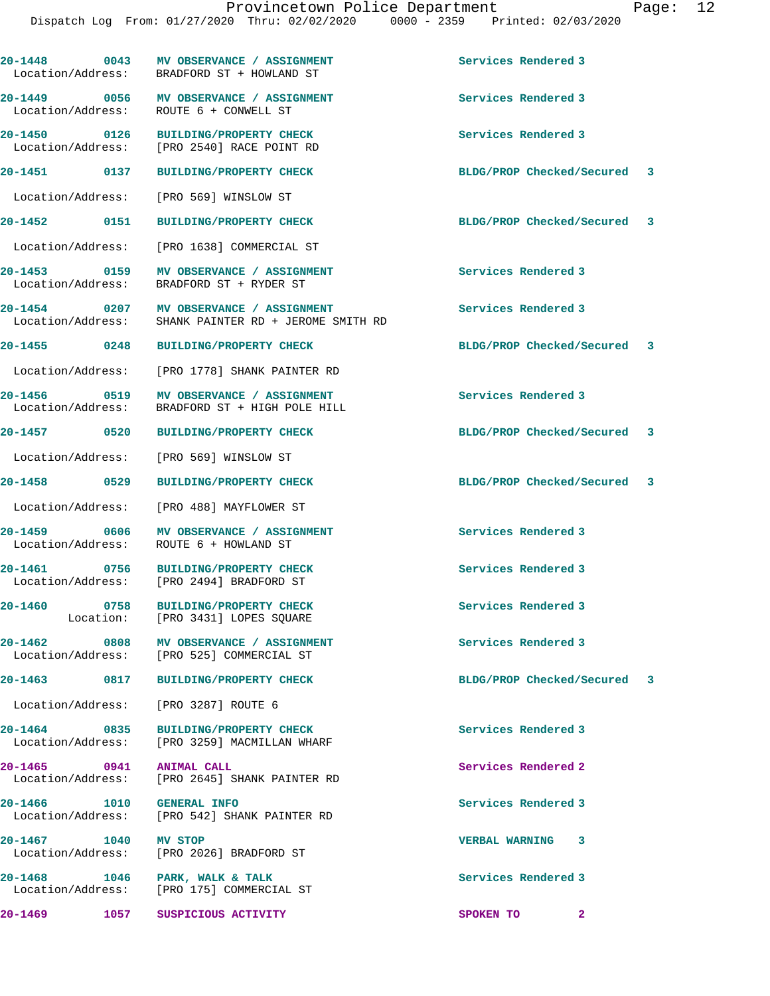| 20-1448 0043<br>Location/Address:        | MV OBSERVANCE / ASSIGNMENT<br>BRADFORD ST + HOWLAND ST                  | Services Rendered 3         |    |
|------------------------------------------|-------------------------------------------------------------------------|-----------------------------|----|
| Location/Address:                        | 20-1449 0056 MV OBSERVANCE / ASSIGNMENT<br>ROUTE 6 + CONWELL ST         | Services Rendered 3         |    |
| 20-1450 0126<br>Location/Address:        | <b>BUILDING/PROPERTY CHECK</b><br>[PRO 2540] RACE POINT RD              | Services Rendered 3         |    |
| 20-1451 0137                             | <b>BUILDING/PROPERTY CHECK</b>                                          | BLDG/PROP Checked/Secured 3 |    |
| Location/Address:                        | [PRO 569] WINSLOW ST                                                    |                             |    |
| 20-1452 0151                             | <b>BUILDING/PROPERTY CHECK</b>                                          | BLDG/PROP Checked/Secured 3 |    |
| Location/Address:                        | [PRO 1638] COMMERCIAL ST                                                |                             |    |
| 20-1453 0159<br>Location/Address:        | MV OBSERVANCE / ASSIGNMENT<br>BRADFORD ST + RYDER ST                    | Services Rendered 3         |    |
| 20-1454 0207<br>Location/Address:        | MV OBSERVANCE / ASSIGNMENT<br>SHANK PAINTER RD + JEROME SMITH RD        | Services Rendered 3         |    |
| 20-1455 0248                             | <b>BUILDING/PROPERTY CHECK</b>                                          | BLDG/PROP Checked/Secured 3 |    |
| Location/Address:                        | [PRO 1778] SHANK PAINTER RD                                             |                             |    |
| 20-1456 0519<br>Location/Address:        | MV OBSERVANCE / ASSIGNMENT<br>BRADFORD ST + HIGH POLE HILL              | Services Rendered 3         |    |
| 20-1457 0520                             | <b>BUILDING/PROPERTY CHECK</b>                                          | BLDG/PROP Checked/Secured 3 |    |
| Location/Address:                        | [PRO 569] WINSLOW ST                                                    |                             |    |
| 20-1458 0529                             | <b>BUILDING/PROPERTY CHECK</b>                                          | BLDG/PROP Checked/Secured 3 |    |
| Location/Address:                        | [PRO 488] MAYFLOWER ST                                                  |                             |    |
| 20-1459 0606<br>Location/Address:        | MV OBSERVANCE / ASSIGNMENT<br>ROUTE 6 + HOWLAND ST                      | Services Rendered 3         |    |
| 20-1461 0756<br>Location/Address:        | <b>BUILDING/PROPERTY CHECK</b><br>[PRO 2494] BRADFORD ST                | Services Rendered 3         |    |
| 20-1460<br>0758<br>Location:             | <b>BUILDING/PROPERTY CHECK</b><br>[PRO 3431] LOPES SQUARE               | Services Rendered 3         |    |
| $20 - 1462$<br>0808                      | MV OBSERVANCE / ASSIGNMENT<br>Location/Address: [PRO 525] COMMERCIAL ST | Services Rendered 3         |    |
| 20-1463<br>0817                          | <b>BUILDING/PROPERTY CHECK</b>                                          | BLDG/PROP Checked/Secured   | -3 |
| Location/Address:                        | [PRO 3287] ROUTE 6                                                      |                             |    |
| 20-1464 0835<br>Location/Address:        | <b>BUILDING/PROPERTY CHECK</b><br>[PRO 3259] MACMILLAN WHARF            | Services Rendered 3         |    |
| 20-1465 0941<br>Location/Address:        | <b>ANIMAL CALL</b><br>[PRO 2645] SHANK PAINTER RD                       | Services Rendered 2         |    |
| 20-1466 1010<br>Location/Address:        | <b>GENERAL INFO</b><br>[PRO 542] SHANK PAINTER RD                       | Services Rendered 3         |    |
| $20 - 1467$<br>1040<br>Location/Address: | MV STOP<br>[PRO 2026] BRADFORD ST                                       | VERBAL WARNING 3            |    |
| $20 - 1468$<br>1046<br>Location/Address: | PARK, WALK & TALK<br>[PRO 175] COMMERCIAL ST                            | Services Rendered 3         |    |
| $20 - 1469$<br>1057                      | SUSPICIOUS ACTIVITY                                                     | SPOKEN TO<br>$\mathbf{2}$   |    |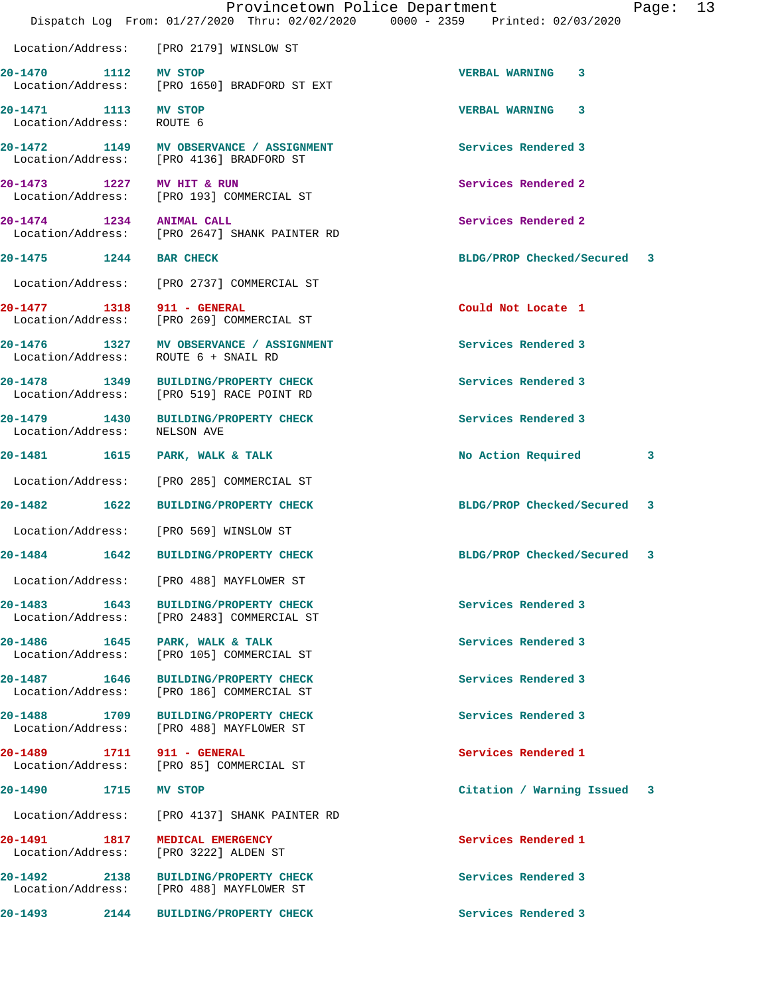|                                                   | Dispatch Log From: 01/27/2020 Thru: 02/02/2020 0000 - 2359 Printed: 02/03/2020      | Provincetown Police Department | Page: | 13 |
|---------------------------------------------------|-------------------------------------------------------------------------------------|--------------------------------|-------|----|
|                                                   | Location/Address: [PRO 2179] WINSLOW ST                                             |                                |       |    |
| 1112 MV STOP<br>20-1470                           | Location/Address: [PRO 1650] BRADFORD ST EXT                                        | VERBAL WARNING 3               |       |    |
| 20-1471 1113 MV STOP<br>Location/Address: ROUTE 6 |                                                                                     | <b>VERBAL WARNING 3</b>        |       |    |
|                                                   | 20-1472 1149 MV OBSERVANCE / ASSIGNMENT<br>Location/Address: [PRO 4136] BRADFORD ST | Services Rendered 3            |       |    |
| 20-1473 1227 MV HIT & RUN                         | Location/Address: [PRO 193] COMMERCIAL ST                                           | Services Rendered 2            |       |    |
| 20-1474 1234 ANIMAL CALL                          | Location/Address: [PRO 2647] SHANK PAINTER RD                                       | Services Rendered 2            |       |    |
| 20-1475 1244 BAR CHECK                            |                                                                                     | BLDG/PROP Checked/Secured 3    |       |    |
|                                                   | Location/Address: [PRO 2737] COMMERCIAL ST                                          |                                |       |    |
| 20-1477 1318 911 - GENERAL                        | Location/Address: [PRO 269] COMMERCIAL ST                                           | Could Not Locate 1             |       |    |
| 20-1476<br>Location/Address: ROUTE 6 + SNAIL RD   | 1327 MV OBSERVANCE / ASSIGNMENT                                                     | Services Rendered 3            |       |    |
|                                                   | 20-1478 1349 BUILDING/PROPERTY CHECK<br>Location/Address: [PRO 519] RACE POINT RD   | Services Rendered 3            |       |    |
| $20 - 1479$<br>Location/Address:                  | 1430 BUILDING/PROPERTY CHECK<br>NELSON AVE                                          | Services Rendered 3            |       |    |
| 20-1481 1615 PARK, WALK & TALK                    |                                                                                     | No Action Required             | 3     |    |
|                                                   | Location/Address: [PRO 285] COMMERCIAL ST                                           |                                |       |    |
|                                                   | 20-1482 1622 BUILDING/PROPERTY CHECK                                                | BLDG/PROP Checked/Secured 3    |       |    |
|                                                   | Location/Address: [PRO 569] WINSLOW ST                                              |                                |       |    |
| $20 - 1484$                                       | 1642 BUILDING/PROPERTY CHECK                                                        | BLDG/PROP Checked/Secured 3    |       |    |
|                                                   | Location/Address: [PRO 488] MAYFLOWER ST                                            |                                |       |    |
| Location/Address:                                 | 20-1483 1643 BUILDING/PROPERTY CHECK<br>[PRO 2483] COMMERCIAL ST                    | Services Rendered 3            |       |    |
| 20-1486 1645 PARK, WALK & TALK                    | Location/Address: [PRO 105] COMMERCIAL ST                                           | Services Rendered 3            |       |    |
| 20-1487 1646<br>Location/Address:                 | <b>BUILDING/PROPERTY CHECK</b><br>[PRO 186] COMMERCIAL ST                           | Services Rendered 3            |       |    |
|                                                   | 20-1488 1709 BUILDING/PROPERTY CHECK<br>Location/Address: [PRO 488] MAYFLOWER ST    | Services Rendered 3            |       |    |
| 20-1489 1711 911 - GENERAL                        | Location/Address: [PRO 85] COMMERCIAL ST                                            | Services Rendered 1            |       |    |
| 20-1490 1715 MV STOP                              |                                                                                     | Citation / Warning Issued      | 3     |    |
| Location/Address:                                 | [PRO 4137] SHANK PAINTER RD                                                         |                                |       |    |
| 20-1491 1817<br>Location/Address:                 | <b>MEDICAL EMERGENCY</b><br>[PRO 3222] ALDEN ST                                     | Services Rendered 1            |       |    |
| 20-1492<br>2138<br>Location/Address:              | <b>BUILDING/PROPERTY CHECK</b><br>[PRO 488] MAYFLOWER ST                            | Services Rendered 3            |       |    |
| $20 - 1493$<br>2144                               | <b>BUILDING/PROPERTY CHECK</b>                                                      | Services Rendered 3            |       |    |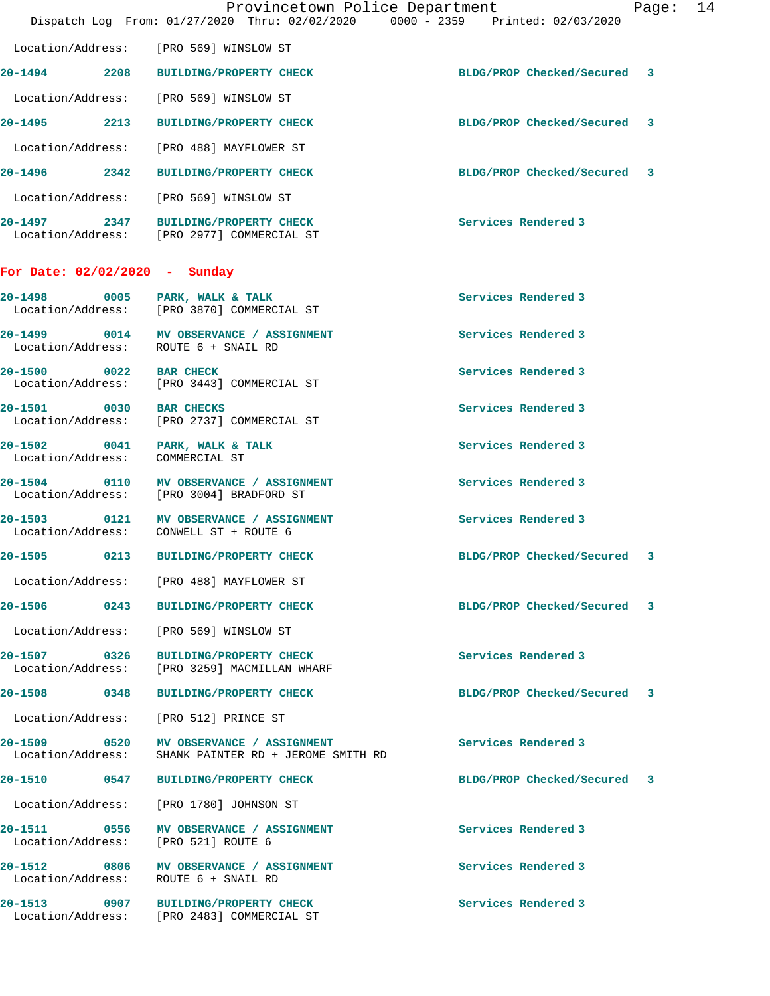|                                   | Provincetown Police Department<br>Dispatch Log From: 01/27/2020 Thru: 02/02/2020 0000 - 2359 Printed: 02/03/2020 |                             | Page: 14 |  |
|-----------------------------------|------------------------------------------------------------------------------------------------------------------|-----------------------------|----------|--|
|                                   | Location/Address: [PRO 569] WINSLOW ST                                                                           |                             |          |  |
|                                   | 20-1494 2208 BUILDING/PROPERTY CHECK                                                                             | BLDG/PROP Checked/Secured 3 |          |  |
|                                   | Location/Address: [PRO 569] WINSLOW ST                                                                           |                             |          |  |
| 20-1495 2213                      | <b>BUILDING/PROPERTY CHECK</b>                                                                                   | BLDG/PROP Checked/Secured 3 |          |  |
|                                   | Location/Address: [PRO 488] MAYFLOWER ST                                                                         |                             |          |  |
|                                   | 20-1496 2342 BUILDING/PROPERTY CHECK                                                                             | BLDG/PROP Checked/Secured 3 |          |  |
|                                   | Location/Address: [PRO 569] WINSLOW ST                                                                           |                             |          |  |
|                                   | 20-1497 2347 BUILDING/PROPERTY CHECK<br>Location/Address: [PRO 2977] COMMERCIAL ST                               | Services Rendered 3         |          |  |
|                                   | For Date: $02/02/2020 - Sunday$                                                                                  |                             |          |  |
| 20-1498                           | 0005 PARK, WALK & TALK<br>Location/Address: [PRO 3870] COMMERCIAL ST                                             | Services Rendered 3         |          |  |
|                                   | 20-1499 0014 MV OBSERVANCE / ASSIGNMENT<br>Location/Address: ROUTE 6 + SNAIL RD                                  | Services Rendered 3         |          |  |
| 20-1500 0022 BAR CHECK            | Location/Address: [PRO 3443] COMMERCIAL ST                                                                       | Services Rendered 3         |          |  |
|                                   | 20-1501 0030 BAR CHECKS<br>Location/Address: [PRO 2737] COMMERCIAL ST                                            | Services Rendered 3         |          |  |
| Location/Address:                 | 20-1502 0041 PARK, WALK & TALK<br>COMMERCIAL ST                                                                  | Services Rendered 3         |          |  |
| 20-1504                           | 0110 MV OBSERVANCE / ASSIGNMENT<br>Location/Address: [PRO 3004] BRADFORD ST                                      | Services Rendered 3         |          |  |
| 20-1503 0121<br>Location/Address: | MV OBSERVANCE / ASSIGNMENT<br>CONWELL ST + ROUTE 6                                                               | Services Rendered 3         |          |  |
| 20-1505                           | 0213 BUILDING/PROPERTY CHECK                                                                                     | BLDG/PROP Checked/Secured 3 |          |  |
|                                   | Location/Address: [PRO 488] MAYFLOWER ST                                                                         |                             |          |  |
|                                   | 20-1506 0243 BUILDING/PROPERTY CHECK                                                                             | BLDG/PROP Checked/Secured 3 |          |  |
|                                   | Location/Address: [PRO 569] WINSLOW ST                                                                           |                             |          |  |
| 20-1507 0326                      | BUILDING/PROPERTY CHECK<br>Location/Address: [PRO 3259] MACMILLAN WHARF                                          | Services Rendered 3         |          |  |
|                                   | 20-1508 0348 BUILDING/PROPERTY CHECK                                                                             | BLDG/PROP Checked/Secured 3 |          |  |
|                                   | Location/Address: [PRO 512] PRINCE ST                                                                            |                             |          |  |
| Location/Address:                 | 20-1509 0520 MV OBSERVANCE / ASSIGNMENT<br>SHANK PAINTER RD + JEROME SMITH RD                                    | Services Rendered 3         |          |  |
|                                   |                                                                                                                  | BLDG/PROP Checked/Secured 3 |          |  |
|                                   | Location/Address: [PRO 1780] JOHNSON ST                                                                          |                             |          |  |
| 20-1511 0556<br>Location/Address: | MV OBSERVANCE / ASSIGNMENT<br>[PRO 521] ROUTE 6                                                                  | Services Rendered 3         |          |  |
| Location/Address:                 | 20-1512 0806 MV OBSERVANCE / ASSIGNMENT<br>ROUTE 6 + SNAIL RD                                                    | Services Rendered 3         |          |  |
|                                   | 20-1513 0907 BUILDING/PROPERTY CHECK<br>Location/Address: [PRO 2483] COMMERCIAL ST                               | Services Rendered 3         |          |  |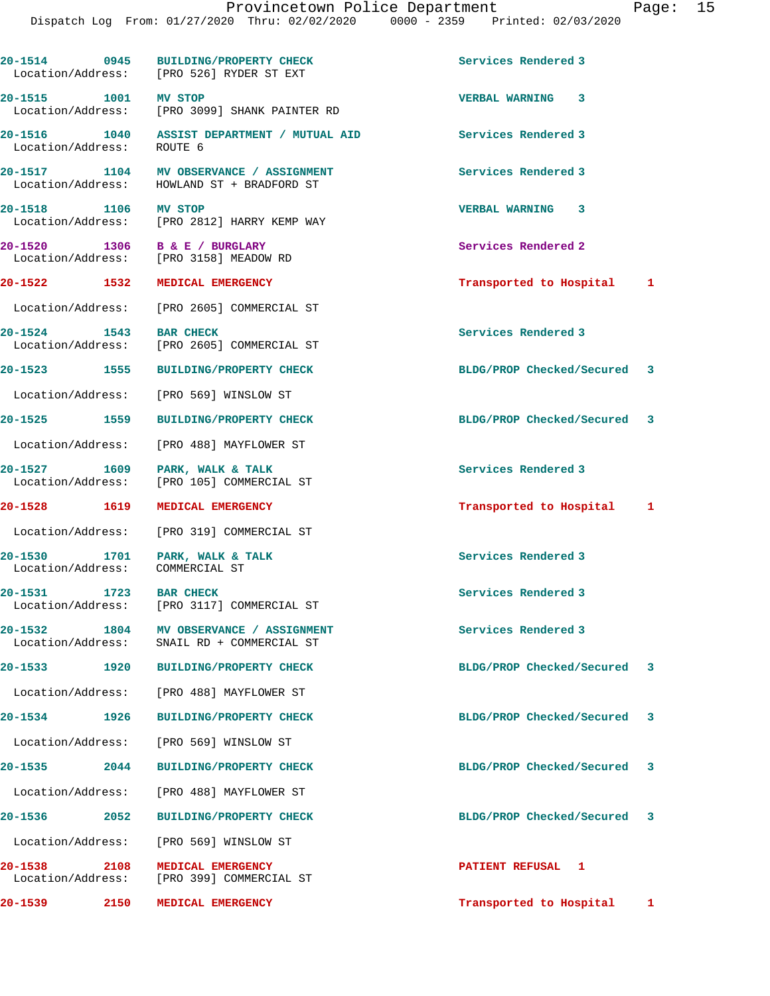| 20-1514 0945<br>Location/Address:        | <b>BUILDING/PROPERTY CHECK</b><br>[PRO 526] RYDER ST EXT                              | Services Rendered 3         |  |
|------------------------------------------|---------------------------------------------------------------------------------------|-----------------------------|--|
| 20-1515 1001 MV STOP                     | Location/Address: [PRO 3099] SHANK PAINTER RD                                         | VERBAL WARNING 3            |  |
| Location/Address:                        | 20-1516 1040 ASSIST DEPARTMENT / MUTUAL AID<br>ROUTE 6                                | Services Rendered 3         |  |
|                                          | 20-1517 1104 MV OBSERVANCE / ASSIGNMENT<br>Location/Address: HOWLAND ST + BRADFORD ST | Services Rendered 3         |  |
| 20-1518 1106                             | <b>MV STOP</b><br>Location/Address: [PRO 2812] HARRY KEMP WAY                         | <b>VERBAL WARNING 3</b>     |  |
| 20-1520 1306 B & E / BURGLARY            | Location/Address: [PRO 3158] MEADOW RD                                                | Services Rendered 2         |  |
| 20-1522 1532 MEDICAL EMERGENCY           |                                                                                       | Transported to Hospital 1   |  |
|                                          | Location/Address: [PRO 2605] COMMERCIAL ST                                            |                             |  |
| 20-1524 1543 BAR CHECK                   | Location/Address: [PRO 2605] COMMERCIAL ST                                            | Services Rendered 3         |  |
|                                          | 20-1523 1555 BUILDING/PROPERTY CHECK                                                  | BLDG/PROP Checked/Secured 3 |  |
|                                          | Location/Address: [PRO 569] WINSLOW ST                                                |                             |  |
|                                          | 20-1525 1559 BUILDING/PROPERTY CHECK                                                  | BLDG/PROP Checked/Secured 3 |  |
| Location/Address:                        | [PRO 488] MAYFLOWER ST                                                                |                             |  |
| 20-1527 1609 PARK, WALK & TALK           | Location/Address: [PRO 105] COMMERCIAL ST                                             | Services Rendered 3         |  |
| 20-1528 1619                             | MEDICAL EMERGENCY                                                                     | Transported to Hospital 1   |  |
|                                          | Location/Address: [PRO 319] COMMERCIAL ST                                             |                             |  |
| 20-1530 1701<br>Location/Address:        | PARK, WALK & TALK<br>COMMERCIAL ST                                                    | Services Rendered 3         |  |
| 20-1531 1723 BAR CHECK                   | Location/Address: [PRO 3117] COMMERCIAL ST                                            | Services Rendered 3         |  |
| $20 - 1532$<br>Location/Address:         | <b>1804 MV OBSERVANCE / ASSIGNMENT</b><br>SNAIL RD + COMMERCIAL ST                    | Services Rendered 3         |  |
| 20-1533 1920                             | <b>BUILDING/PROPERTY CHECK</b>                                                        | BLDG/PROP Checked/Secured 3 |  |
| Location/Address:                        | [PRO 488] MAYFLOWER ST                                                                |                             |  |
| 20-1534 1926                             | <b>BUILDING/PROPERTY CHECK</b>                                                        | BLDG/PROP Checked/Secured 3 |  |
| Location/Address:                        | [PRO 569] WINSLOW ST                                                                  |                             |  |
| $20 - 1535$<br>2044                      | <b>BUILDING/PROPERTY CHECK</b>                                                        | BLDG/PROP Checked/Secured 3 |  |
| Location/Address:                        | [PRO 488] MAYFLOWER ST                                                                |                             |  |
| 20-1536<br>2052                          | <b>BUILDING/PROPERTY CHECK</b>                                                        | BLDG/PROP Checked/Secured 3 |  |
| Location/Address:                        | [PRO 569] WINSLOW ST                                                                  |                             |  |
| $20 - 1538$<br>2108<br>Location/Address: | MEDICAL EMERGENCY<br>[PRO 399] COMMERCIAL ST                                          | PATIENT REFUSAL 1           |  |
| $20 - 1539$<br>2150                      | MEDICAL EMERGENCY                                                                     | Transported to Hospital 1   |  |